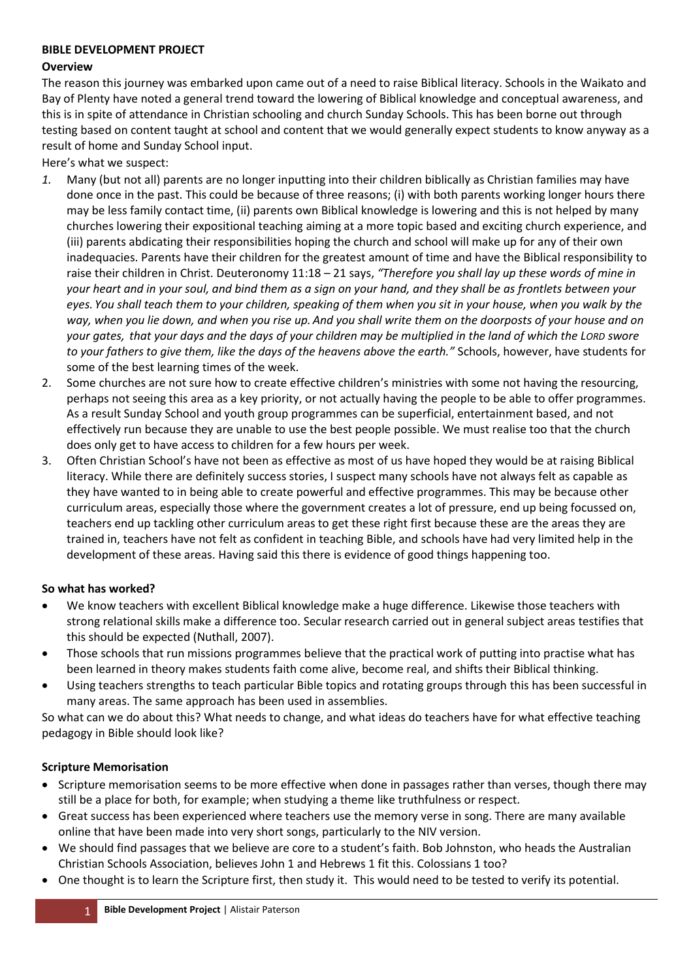#### **BIBLE DEVELOPMENT PROJECT**

#### **Overview**

The reason this journey was embarked upon came out of a need to raise Biblical literacy. Schools in the Waikato and Bay of Plenty have noted a general trend toward the lowering of Biblical knowledge and conceptual awareness, and this is in spite of attendance in Christian schooling and church Sunday Schools. This has been borne out through testing based on content taught at school and content that we would generally expect students to know anyway as a result of home and Sunday School input.

Here's what we suspect:

- *1.* Many (but not all) parents are no longer inputting into their children biblically as Christian families may have done once in the past. This could be because of three reasons; (i) with both parents working longer hours there may be less family contact time, (ii) parents own Biblical knowledge is lowering and this is not helped by many churches lowering their expositional teaching aiming at a more topic based and exciting church experience, and (iii) parents abdicating their responsibilities hoping the church and school will make up for any of their own inadequacies. Parents have their children for the greatest amount of time and have the Biblical responsibility to raise their children in Christ. Deuteronomy 11:18 – 21 says, *"Therefore you shall lay up these words of mine in your heart and in your soul, and bind them as a sign on your hand, and they shall be as frontlets between your eyes. You shall teach them to your children, speaking of them when you sit in your house, when you walk by the way, when you lie down, and when you rise up. And you shall write them on the doorposts of your house and on your gates, that your days and the days of your children may be multiplied in the land of which the LORD swore to your fathers to give them, like the days of the heavens above the earth."* Schools, however, have students for some of the best learning times of the week.
- 2. Some churches are not sure how to create effective children's ministries with some not having the resourcing, perhaps not seeing this area as a key priority, or not actually having the people to be able to offer programmes. As a result Sunday School and youth group programmes can be superficial, entertainment based, and not effectively run because they are unable to use the best people possible. We must realise too that the church does only get to have access to children for a few hours per week.
- 3. Often Christian School's have not been as effective as most of us have hoped they would be at raising Biblical literacy. While there are definitely success stories, I suspect many schools have not always felt as capable as they have wanted to in being able to create powerful and effective programmes. This may be because other curriculum areas, especially those where the government creates a lot of pressure, end up being focussed on, teachers end up tackling other curriculum areas to get these right first because these are the areas they are trained in, teachers have not felt as confident in teaching Bible, and schools have had very limited help in the development of these areas. Having said this there is evidence of good things happening too.

# **So what has worked?**

- We know teachers with excellent Biblical knowledge make a huge difference. Likewise those teachers with strong relational skills make a difference too. Secular research carried out in general subject areas testifies that this should be expected (Nuthall, 2007).
- Those schools that run missions programmes believe that the practical work of putting into practise what has been learned in theory makes students faith come alive, become real, and shifts their Biblical thinking.
- Using teachers strengths to teach particular Bible topics and rotating groups through this has been successful in many areas. The same approach has been used in assemblies.

So what can we do about this? What needs to change, and what ideas do teachers have for what effective teaching pedagogy in Bible should look like?

# **Scripture Memorisation**

- Scripture memorisation seems to be more effective when done in passages rather than verses, though there may still be a place for both, for example; when studying a theme like truthfulness or respect.
- Great success has been experienced where teachers use the memory verse in song. There are many available online that have been made into very short songs, particularly to the NIV version.
- We should find passages that we believe are core to a student's faith. Bob Johnston, who heads the Australian Christian Schools Association, believes John 1 and Hebrews 1 fit this. Colossians 1 too?
- One thought is to learn the Scripture first, then study it. This would need to be tested to verify its potential.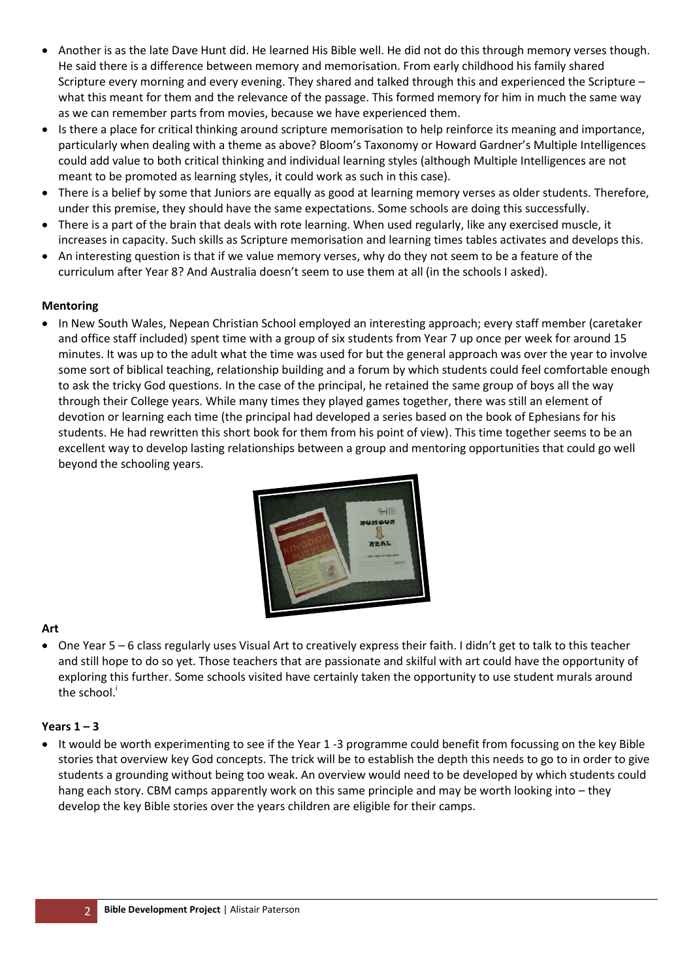- Another is as the late Dave Hunt did. He learned His Bible well. He did not do this through memory verses though. He said there is a difference between memory and memorisation. From early childhood his family shared Scripture every morning and every evening. They shared and talked through this and experienced the Scripture – what this meant for them and the relevance of the passage. This formed memory for him in much the same way as we can remember parts from movies, because we have experienced them.
- Is there a place for critical thinking around scripture memorisation to help reinforce its meaning and importance, particularly when dealing with a theme as above? Bloom's Taxonomy or Howard Gardner's Multiple Intelligences could add value to both critical thinking and individual learning styles (although Multiple Intelligences are not meant to be promoted as learning styles, it could work as such in this case).
- There is a belief by some that Juniors are equally as good at learning memory verses as older students. Therefore, under this premise, they should have the same expectations. Some schools are doing this successfully.
- There is a part of the brain that deals with rote learning. When used regularly, like any exercised muscle, it increases in capacity. Such skills as Scripture memorisation and learning times tables activates and develops this.
- An interesting question is that if we value memory verses, why do they not seem to be a feature of the curriculum after Year 8? And Australia doesn't seem to use them at all (in the schools I asked).

#### **Mentoring**

 In New South Wales, Nepean Christian School employed an interesting approach; every staff member (caretaker and office staff included) spent time with a group of six students from Year 7 up once per week for around 15 minutes. It was up to the adult what the time was used for but the general approach was over the year to involve some sort of biblical teaching, relationship building and a forum by which students could feel comfortable enough to ask the tricky God questions. In the case of the principal, he retained the same group of boys all the way through their College years. While many times they played games together, there was still an element of devotion or learning each time (the principal had developed a series based on the book of Ephesians for his students. He had rewritten this short book for them from his point of view). This time together seems to be an excellent way to develop lasting relationships between a group and mentoring opportunities that could go well beyond the schooling years.



# **Art**

 One Year 5 – 6 class regularly uses Visual Art to creatively express their faith. I didn't get to talk to this teacher and still hope to do so yet. Those teachers that are passionate and skilful with art could have the opportunity of exploring this further. Some schools visited have certainly taken the opportunity to use student murals around the school.

# **Years 1 – 3**

 It would be worth experimenting to see if the Year 1 -3 programme could benefit from focussing on the key Bible stories that overview key God concepts. The trick will be to establish the depth this needs to go to in order to give students a grounding without being too weak. An overview would need to be developed by which students could hang each story. CBM camps apparently work on this same principle and may be worth looking into – they develop the key Bible stories over the years children are eligible for their camps.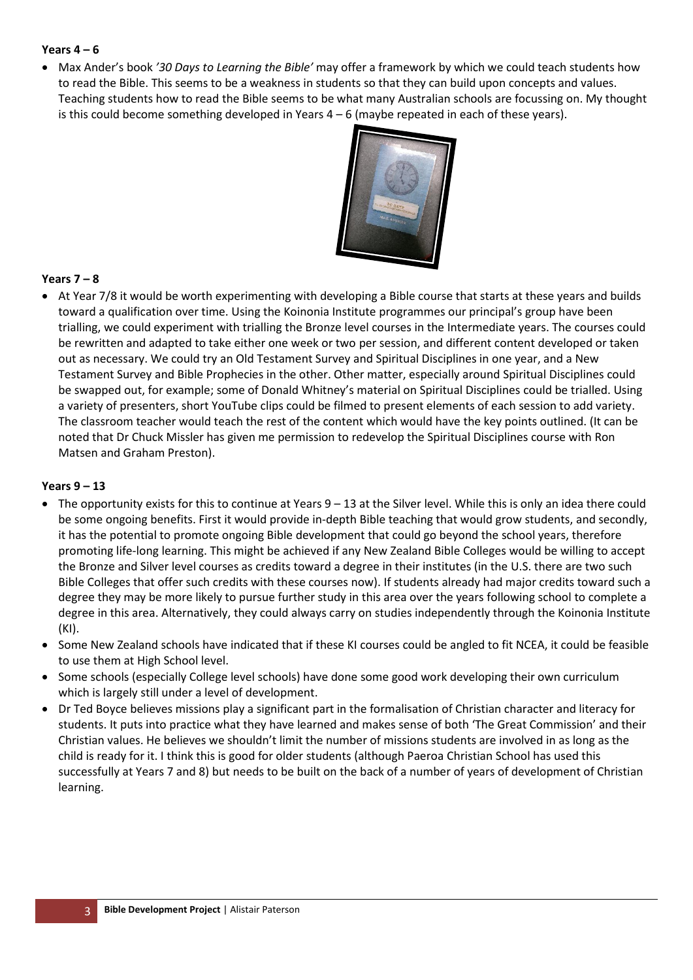## **Years 4 – 6**

 Max Ander's book *'30 Days to Learning the Bible'* may offer a framework by which we could teach students how to read the Bible. This seems to be a weakness in students so that they can build upon concepts and values. Teaching students how to read the Bible seems to be what many Australian schools are focussing on. My thought is this could become something developed in Years  $4 - 6$  (maybe repeated in each of these years).



# **Years 7 – 8**

 At Year 7/8 it would be worth experimenting with developing a Bible course that starts at these years and builds toward a qualification over time. Using the Koinonia Institute programmes our principal's group have been trialling, we could experiment with trialling the Bronze level courses in the Intermediate years. The courses could be rewritten and adapted to take either one week or two per session, and different content developed or taken out as necessary. We could try an Old Testament Survey and Spiritual Disciplines in one year, and a New Testament Survey and Bible Prophecies in the other. Other matter, especially around Spiritual Disciplines could be swapped out, for example; some of Donald Whitney's material on Spiritual Disciplines could be trialled. Using a variety of presenters, short YouTube clips could be filmed to present elements of each session to add variety. The classroom teacher would teach the rest of the content which would have the key points outlined. (It can be noted that Dr Chuck Missler has given me permission to redevelop the Spiritual Disciplines course with Ron Matsen and Graham Preston).

#### **Years 9 – 13**

- The opportunity exists for this to continue at Years 9 13 at the Silver level. While this is only an idea there could be some ongoing benefits. First it would provide in-depth Bible teaching that would grow students, and secondly, it has the potential to promote ongoing Bible development that could go beyond the school years, therefore promoting life-long learning. This might be achieved if any New Zealand Bible Colleges would be willing to accept the Bronze and Silver level courses as credits toward a degree in their institutes (in the U.S. there are two such Bible Colleges that offer such credits with these courses now). If students already had major credits toward such a degree they may be more likely to pursue further study in this area over the years following school to complete a degree in this area. Alternatively, they could always carry on studies independently through the Koinonia Institute (KI).
- Some New Zealand schools have indicated that if these KI courses could be angled to fit NCEA, it could be feasible to use them at High School level.
- Some schools (especially College level schools) have done some good work developing their own curriculum which is largely still under a level of development.
- Dr Ted Boyce believes missions play a significant part in the formalisation of Christian character and literacy for students. It puts into practice what they have learned and makes sense of both 'The Great Commission' and their Christian values. He believes we shouldn't limit the number of missions students are involved in as long as the child is ready for it. I think this is good for older students (although Paeroa Christian School has used this successfully at Years 7 and 8) but needs to be built on the back of a number of years of development of Christian learning.